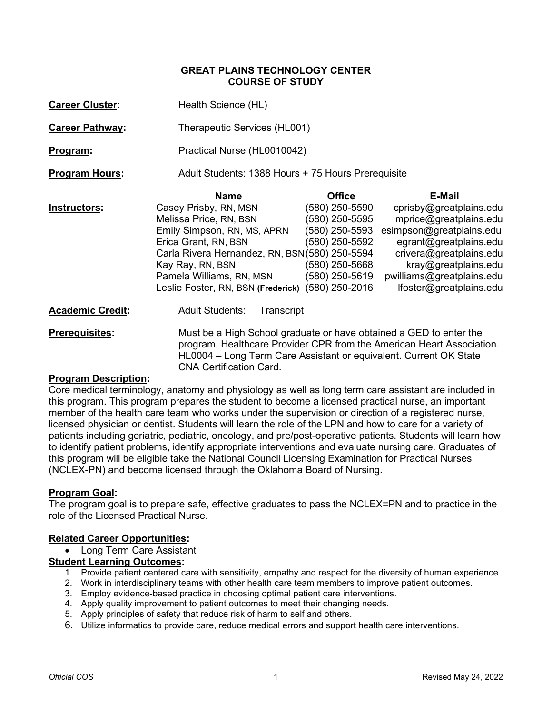#### **GREAT PLAINS TECHNOLOGY CENTER COURSE OF STUDY**

| <b>Career Cluster:</b>  | Health Science (HL)                                                |                |                           |  |
|-------------------------|--------------------------------------------------------------------|----------------|---------------------------|--|
| <b>Career Pathway:</b>  | Therapeutic Services (HL001)                                       |                |                           |  |
| Program:                | Practical Nurse (HL0010042)                                        |                |                           |  |
| <b>Program Hours:</b>   | Adult Students: 1388 Hours + 75 Hours Prerequisite                 |                |                           |  |
|                         | <b>Name</b>                                                        | <b>Office</b>  | E-Mail                    |  |
| Instructors:            | Casey Prisby, RN, MSN                                              | (580) 250-5590 | cprisby@greatplains.edu   |  |
|                         | Melissa Price, RN, BSN                                             | (580) 250-5595 | mprice@greatplains.edu    |  |
|                         | Emily Simpson, RN, MS, APRN                                        | (580) 250-5593 | esimpson@greatplains.edu  |  |
|                         | Erica Grant, RN, BSN                                               | (580) 250-5592 | egrant@greatplains.edu    |  |
|                         | Carla Rivera Hernandez, RN, BSN(580) 250-5594                      |                | crivera@greatplains.edu   |  |
|                         | Kay Ray, RN, BSN                                                   | (580) 250-5668 | kray@greatplains.edu      |  |
|                         | Pamela Williams, RN, MSN                                           | (580) 250-5619 | pwilliams@greatplains.edu |  |
|                         | Leslie Foster, RN, BSN (Frederick) (580) 250-2016                  |                | lfoster@greatplains.edu   |  |
| <b>Academic Credit:</b> | <b>Adult Students:</b><br>Transcript                               |                |                           |  |
| Droroquicitos:          | Must be a High School graduate or have obtained a CED to enter the |                |                           |  |

**Prerequisites:** Must be a High School graduate or have obtained a GED to enter the program. Healthcare Provider CPR from the American Heart Association. HL0004 – Long Term Care Assistant or equivalent. Current OK State CNA Certification Card.

### **Program Description:**

Core medical terminology, anatomy and physiology as well as long term care assistant are included in this program. This program prepares the student to become a licensed practical nurse, an important member of the health care team who works under the supervision or direction of a registered nurse, licensed physician or dentist. Students will learn the role of the LPN and how to care for a variety of patients including geriatric, pediatric, oncology, and pre/post-operative patients. Students will learn how to identify patient problems, identify appropriate interventions and evaluate nursing care. Graduates of this program will be eligible take the National Council Licensing Examination for Practical Nurses (NCLEX-PN) and become licensed through the Oklahoma Board of Nursing.

# **Program Goal:**

The program goal is to prepare safe, effective graduates to pass the NCLEX=PN and to practice in the role of the Licensed Practical Nurse.

# **Related Career Opportunities:**

• Long Term Care Assistant

### **Student Learning Outcomes:**

- 1. Provide patient centered care with sensitivity, empathy and respect for the diversity of human experience.
- 2. Work in interdisciplinary teams with other health care team members to improve patient outcomes.
- 3. Employ evidence-based practice in choosing optimal patient care interventions.
- 4. Apply quality improvement to patient outcomes to meet their changing needs.
- 5. Apply principles of safety that reduce risk of harm to self and others.
- 6. Utilize informatics to provide care, reduce medical errors and support health care interventions.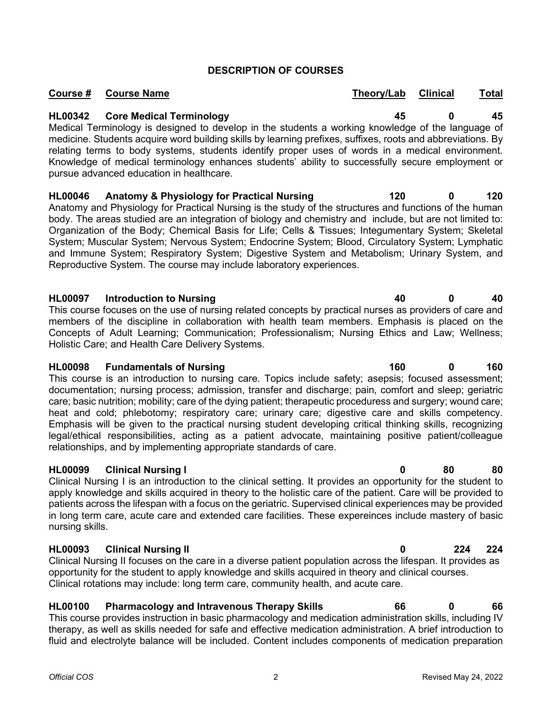## **DESCRIPTION OF COURSES**

**Course # Course Name Theory/Lab Clinical Total**

**HL00342 Core Medical Terminology 45 0 45** Medical Terminology is designed to develop in the students a working knowledge of the language of medicine. Students acquire word building skills by learning prefixes, suffixes, roots and abbreviations. By relating terms to body systems, students identify proper uses of words in a medical environment. Knowledge of medical terminology enhances students' ability to successfully secure employment or pursue advanced education in healthcare.

**HL00046 Anatomy & Physiology for Practical Nursing 120 0 120** Anatomy and Physiology for Practical Nursing is the study of the structures and functions of the human body. The areas studied are an integration of biology and chemistry and include, but are not limited to: Organization of the Body; Chemical Basis for Life; Cells & Tissues; Integumentary System; Skeletal System; Muscular System; Nervous System; Endocrine System; Blood, Circulatory System; Lymphatic and Immune System; Respiratory System; Digestive System and Metabolism; Urinary System, and Reproductive System. The course may include laboratory experiences.

# **HL00097 Introduction to Nursing 40 0 40**

This course focuses on the use of nursing related concepts by practical nurses as providers of care and members of the discipline in collaboration with health team members. Emphasis is placed on the Concepts of Adult Learning; Communication; Professionalism; Nursing Ethics and Law; Wellness; Holistic Care; and Health Care Delivery Systems.

# **HL00098 Fundamentals of Nursing 160 0 160**

This course is an introduction to nursing care. Topics include safety; asepsis; focused assessment; documentation; nursing process; admission, transfer and discharge; pain, comfort and sleep; geriatric care; basic nutrition; mobility; care of the dying patient; therapeutic proceduress and surgery; wound care; heat and cold; phlebotomy; respiratory care; urinary care; digestive care and skills competency. Emphasis will be given to the practical nursing student developing critical thinking skills, recognizing legal/ethical responsibilities, acting as a patient advocate, maintaining positive patient/colleague relationships, and by implementing appropriate standards of care.

# **HL00099 Clinical Nursing I 0 80 80**

Clinical Nursing I is an introduction to the clinical setting. It provides an opportunity for the student to apply knowledge and skills acquired in theory to the holistic care of the patient. Care will be provided to patients across the lifespan with a focus on the geriatric. Supervised clinical experiences may be provided in long term care, acute care and extended care facilities. These expereinces include mastery of basic nursing skills.

# **HL00093 Clinical Nursing II 0 224 224**

Clinical Nursing II focuses on the care in a diverse patient population across the lifespan. It provides as opportunity for the student to apply knowledge and skills acquired in theory and clinical courses. Clinical rotations may include: long term care, community health, and acute care.

# **HL00100 Pharmacology and Intravenous Therapy Skills 66 0 66**

This course provides instruction in basic pharmacology and medication administration skills, including IV therapy, as well as skills needed for safe and effective medication administration. A brief introduction to fluid and electrolyte balance will be included. Content includes components of medication preparation

#### *Official COS* 2 Revised May 24, 2022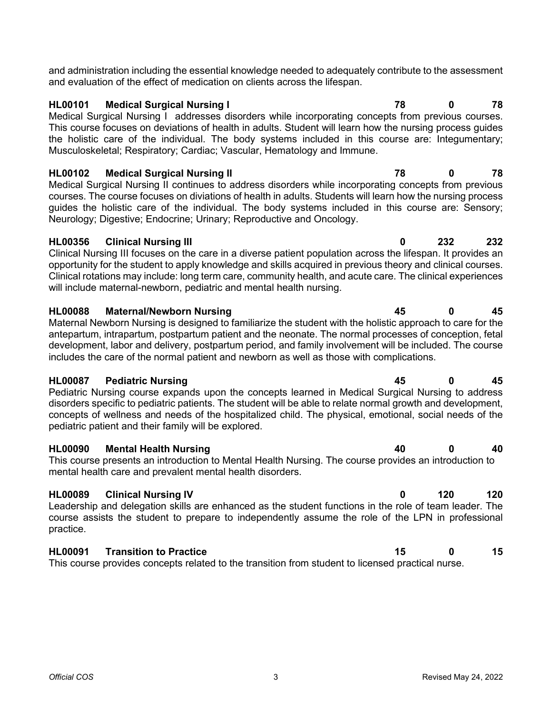and administration including the essential knowledge needed to adequately contribute to the assessment and evaluation of the effect of medication on clients across the lifespan.

## **HL00101 Medical Surgical Nursing I 78 0 78**

Medical Surgical Nursing I addresses disorders while incorporating concepts from previous courses. This course focuses on deviations of health in adults. Student will learn how the nursing process guides the holistic care of the individual. The body systems included in this course are: Integumentary; Musculoskeletal; Respiratory; Cardiac; Vascular, Hematology and Immune.

**HL00102 Medical Surgical Nursing II 78 0 78** Medical Surgical Nursing II continues to address disorders while incorporating concepts from previous courses. The course focuses on diviations of health in adults. Students will learn how the nursing process guides the holistic care of the individual. The body systems included in this course are: Sensory; Neurology; Digestive; Endocrine; Urinary; Reproductive and Oncology.

### **HL00356 Clinical Nursing III 0 232 232**

Clinical Nursing III focuses on the care in a diverse patient population across the lifespan. It provides an opportunity for the student to apply knowledge and skills acquired in previous theory and clinical courses. Clinical rotations may include: long term care, community health, and acute care. The clinical experiences will include maternal-newborn, pediatric and mental health nursing.

### **HL00088 Maternal/Newborn Nursing 45 0 45**

Maternal Newborn Nursing is designed to familiarize the student with the holistic approach to care for the antepartum, intrapartum, postpartum patient and the neonate. The normal processes of conception, fetal development, labor and delivery, postpartum period, and family involvement will be included. The course includes the care of the normal patient and newborn as well as those with complications.

### **HL00087 Pediatric Nursing 45 0 45**

Pediatric Nursing course expands upon the concepts learned in Medical Surgical Nursing to address disorders specific to pediatric patients. The student will be able to relate normal growth and development, concepts of wellness and needs of the hospitalized child. The physical, emotional, social needs of the pediatric patient and their family will be explored.

### **HL00090 Mental Health Nursing 40 0 40**

This course presents an introduction to Mental Health Nursing. The course provides an introduction to mental health care and prevalent mental health disorders.

# **HL00089 Clinical Nursing IV 0 120 120**

Leadership and delegation skills are enhanced as the student functions in the role of team leader. The course assists the student to prepare to independently assume the role of the LPN in professional practice.

# **HL00091 Transition to Practice 15 0 15**

This course provides concepts related to the transition from student to licensed practical nurse.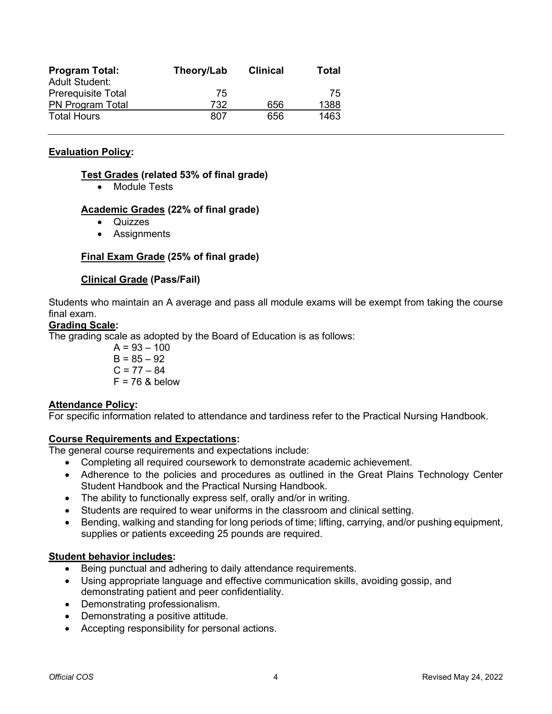| <b>Program Total:</b><br><b>Adult Student:</b> | Theory/Lab | <b>Clinical</b> | Total |
|------------------------------------------------|------------|-----------------|-------|
| <b>Prerequisite Total</b>                      | 75         |                 | 75    |
| PN Program Total                               | 732        | 656             | 1388  |
| <b>Total Hours</b>                             | 807        | 656             | 1463  |

### **Evaluation Policy:**

#### **Test Grades (related 53% of final grade)**

• Module Tests

#### **Academic Grades (22% of final grade)**

- **Quizzes**
- Assignments

### **Final Exam Grade (25% of final grade)**

#### **Clinical Grade (Pass/Fail)**

Students who maintain an A average and pass all module exams will be exempt from taking the course final exam.

#### **Grading Scale:**

The grading scale as adopted by the Board of Education is as follows:

$$
A = 93 - 100
$$
  
B = 85 - 92  
C = 77 - 84  
F = 76 & below

#### **Attendance Policy:**

For specific information related to attendance and tardiness refer to the Practical Nursing Handbook.

#### **Course Requirements and Expectations:**

The general course requirements and expectations include:

- Completing all required coursework to demonstrate academic achievement.
- Adherence to the policies and procedures as outlined in the Great Plains Technology Center Student Handbook and the Practical Nursing Handbook.
- The ability to functionally express self, orally and/or in writing.
- Students are required to wear uniforms in the classroom and clinical setting.
- Bending, walking and standing for long periods of time; lifting, carrying, and/or pushing equipment, supplies or patients exceeding 25 pounds are required.

#### **Student behavior includes:**

- Being punctual and adhering to daily attendance requirements.
- Using appropriate language and effective communication skills, avoiding gossip, and demonstrating patient and peer confidentiality.
- Demonstrating professionalism.
- Demonstrating a positive attitude.
- Accepting responsibility for personal actions.